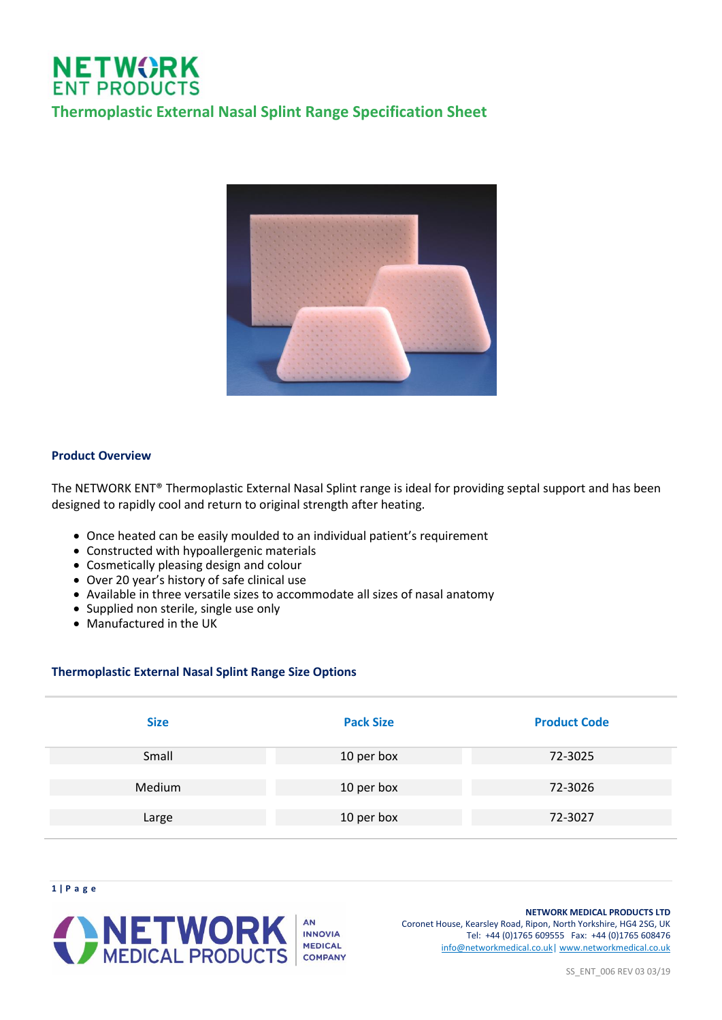## **NETWORK**<br>ENT PRODUCTS **Thermoplastic External Nasal Splint Range Specification Sheet**



#### **Product Overview**

**1 | P a g e**

The NETWORK ENT® Thermoplastic External Nasal Splint range is ideal for providing septal support and has been designed to rapidly cool and return to original strength after heating.

- Once heated can be easily moulded to an individual patient's requirement
- Constructed with hypoallergenic materials
- Cosmetically pleasing design and colour
- Over 20 year's history of safe clinical use
- Available in three versatile sizes to accommodate all sizes of nasal anatomy
- Supplied non sterile, single use only
- Manufactured in the UK

#### **Thermoplastic External Nasal Splint Range Size Options**

| <b>Size</b> | <b>Pack Size</b> | <b>Product Code</b> |
|-------------|------------------|---------------------|
| Small       | 10 per box       | 72-3025             |
| Medium      | 10 per box       | 72-3026             |
| Large       | 10 per box       | 72-3027             |



**NETWORK MEDICAL PRODUCTS LTD** Coronet House, Kearsley Road, Ripon, North Yorkshire, HG4 2SG, UK Tel: +44 (0)1765 609555 Fax: +44 (0)1765 608476 [info@networkmedical.co.uk|](mailto:info@networkmedical.co.uk) [www.networkmedical.co.uk](http://www.networkmedical.co.uk/)

SS\_ENT\_006 REV 03 03/19